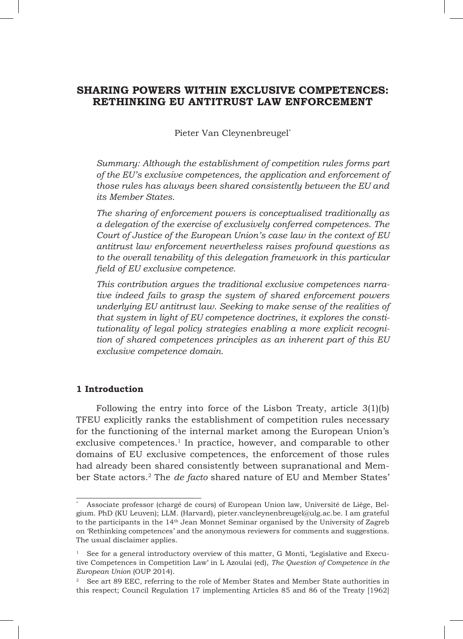# **SHARING POWERS WITHIN EXCLUSIVE COMPETENCES: RETHINKING EU ANTITRUST LAW ENFORCEMENT**

Pieter Van Cleynenbreugel\*

*Summary: Although the establishment of competition rules forms part of the EU's exclusive competences, the application and enforcement of those rules has always been shared consistently between the EU and its Member States.*

*The sharing of enforcement powers is conceptualised traditionally as a delegation of the exercise of exclusively conferred competences. The Court of Justice of the European Union's case law in the context of EU antitrust law enforcement nevertheless raises profound questions as to the overall tenability of this delegation framework in this particular field of EU exclusive competence.*

*This contribution argues the traditional exclusive competences narrative indeed fails to grasp the system of shared enforcement powers underlying EU antitrust law. Seeking to make sense of the realities of that system in light of EU competence doctrines, it explores the constitutionality of legal policy strategies enabling a more explicit recognition of shared competences principles as an inherent part of this EU exclusive competence domain.*

## **1 Introduction**

Following the entry into force of the Lisbon Treaty, article 3(1)(b) TFEU explicitly ranks the establishment of competition rules necessary for the functioning of the internal market among the European Union's exclusive competences.<sup>1</sup> In practice, however, and comparable to other domains of EU exclusive competences, the enforcement of those rules had already been shared consistently between supranational and Member State actors.2 The *de facto* shared nature of EU and Member States'

<sup>\*</sup> Associate professor (chargé de cours) of European Union law, Université de Liège, Belgium. PhD (KU Leuven); LLM. (Harvard), pieter.vancleynenbreugel@ulg.ac.be. I am grateful to the participants in the 14th Jean Monnet Seminar organised by the University of Zagreb on 'Rethinking competences' and the anonymous reviewers for comments and suggestions. The usual disclaimer applies.

<sup>1</sup> See for a general introductory overview of this matter, G Monti, 'Legislative and Executive Competences in Competition Law' in L Azoulai (ed), *The Question of Competence in the European Union* (OUP 2014).

<sup>&</sup>lt;sup>2</sup> See art 89 EEC, referring to the role of Member States and Member State authorities in this respect; Council Regulation 17 implementing Articles 85 and 86 of the Treaty [1962]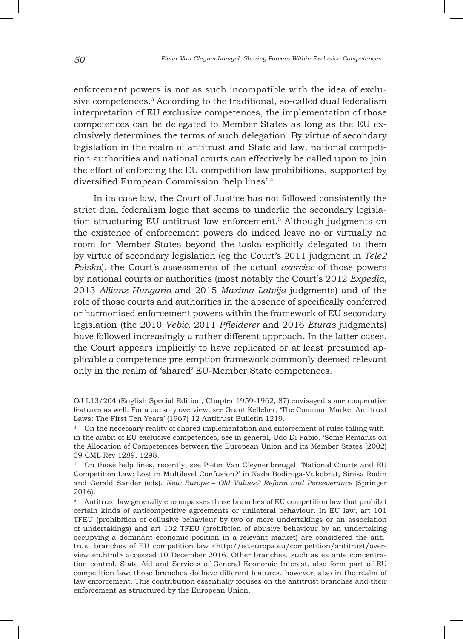enforcement powers is not as such incompatible with the idea of exclusive competences.<sup>3</sup> According to the traditional, so-called dual federalism interpretation of EU exclusive competences, the implementation of those competences can be delegated to Member States as long as the EU exclusively determines the terms of such delegation. By virtue of secondary legislation in the realm of antitrust and State aid law, national competition authorities and national courts can effectively be called upon to join the effort of enforcing the EU competition law prohibitions, supported by diversified European Commission 'help lines'.4

In its case law, the Court of Justice has not followed consistently the strict dual federalism logic that seems to underlie the secondary legislation structuring EU antitrust law enforcement.5 Although judgments on the existence of enforcement powers do indeed leave no or virtually no room for Member States beyond the tasks explicitly delegated to them by virtue of secondary legislation (eg the Court's 2011 judgment in *Tele2 Polska*), the Court's assessments of the actual *exercise* of those powers by national courts or authorities (most notably the Court's 2012 *Expedia,*  2013 *Allianz Hungaria* and 2015 *Maxima Latvija* judgments) and of the role of those courts and authorities in the absence of specifically conferred or harmonised enforcement powers within the framework of EU secondary legislation (the 2010 *Vebic,* 2011 *Pfleiderer* and 2016 *Eturas* judgments) have followed increasingly a rather different approach. In the latter cases, the Court appears implicitly to have replicated or at least presumed applicable a competence pre-emption framework commonly deemed relevant only in the realm of 'shared' EU-Member State competences.

OJ L13/204 (English Special Edition, Chapter 1959-1962, 87) envisaged some cooperative features as well. For a cursory overview, see Grant Kelleher, 'The Common Market Antitrust Laws: The First Ten Years' (1967) 12 Antitrust Bulletin 1219.

<sup>&</sup>lt;sup>3</sup> On the necessary reality of shared implementation and enforcement of rules falling within the ambit of EU exclusive competences, see in general, Udo Di Fabio, 'Some Remarks on the Allocation of Competences between the European Union and its Member States (2002) 39 CML Rev 1289, 1298.

<sup>4</sup> On those help lines, recently, see Pieter Van Cleynenbreugel, 'National Courts and EU Competition Law: Lost in Multilevel Confusion?' in Nada Bodiroga-Vukobrat, Sinisa Rodin and Gerald Sander (eds), *New Europe – Old Values? Reform and Perseverance* (Springer 2016).

<sup>5</sup> Antitrust law generally encompasses those branches of EU competition law that prohibit certain kinds of anticompetitive agreements or unilateral behaviour. In EU law, art 101 TFEU (prohibition of collusive behaviour by two or more undertakings or an association of undertakings) and art 102 TFEU (prohibtion of abusive behaviour by an undertaking occupying a dominant economic position in a relevant market) are considered the antitrust branches of EU competition law <http://ec.europa.eu/competition/antitrust/overview\_en.html> accessed 10 December 2016. Other branches, such as ex ante concentration control, State Aid and Services of General Economic Interest, also form part of EU competition law; those branches do have different features, however, also in the realm of law enforcement. This contribution essentially focuses on the antitrust branches and their enforcement as structured by the European Union.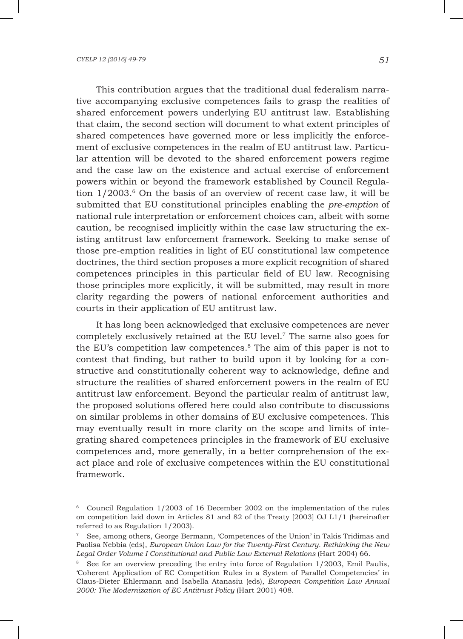This contribution argues that the traditional dual federalism narrative accompanying exclusive competences fails to grasp the realities of shared enforcement powers underlying EU antitrust law. Establishing that claim, the second section will document to what extent principles of shared competences have governed more or less implicitly the enforcement of exclusive competences in the realm of EU antitrust law. Particular attention will be devoted to the shared enforcement powers regime and the case law on the existence and actual exercise of enforcement powers within or beyond the framework established by Council Regulation  $1/2003$ .<sup>6</sup> On the basis of an overview of recent case law, it will be submitted that EU constitutional principles enabling the *pre-emption* of national rule interpretation or enforcement choices can, albeit with some caution, be recognised implicitly within the case law structuring the existing antitrust law enforcement framework. Seeking to make sense of those pre-emption realities in light of EU constitutional law competence doctrines, the third section proposes a more explicit recognition of shared competences principles in this particular field of EU law. Recognising those principles more explicitly, it will be submitted, may result in more clarity regarding the powers of national enforcement authorities and courts in their application of EU antitrust law.

It has long been acknowledged that exclusive competences are never completely exclusively retained at the EU level.7 The same also goes for the EU's competition law competences.8 The aim of this paper is not to contest that finding, but rather to build upon it by looking for a constructive and constitutionally coherent way to acknowledge, define and structure the realities of shared enforcement powers in the realm of EU antitrust law enforcement. Beyond the particular realm of antitrust law, the proposed solutions offered here could also contribute to discussions on similar problems in other domains of EU exclusive competences. This may eventually result in more clarity on the scope and limits of integrating shared competences principles in the framework of EU exclusive competences and, more generally, in a better comprehension of the exact place and role of exclusive competences within the EU constitutional framework.

<sup>6</sup> Council Regulation 1/2003 of 16 December 2002 on the implementation of the rules on competition laid down in Articles 81 and 82 of the Treaty [2003] OJ L1/1 (hereinafter referred to as Regulation 1/2003).

<sup>7</sup> See, among others, George Bermann, 'Competences of the Union' in Takis Tridimas and Paolisa Nebbia (eds), *European Union Law for the Twenty-First Century. Rethinking the New*  Legal Order Volume I Constitutional and Public Law External Relations (Hart 2004) 66.

<sup>&</sup>lt;sup>8</sup> See for an overview preceding the entry into force of Regulation 1/2003, Emil Paulis, 'Coherent Application of EC Competition Rules in a System of Parallel Competencies' in Claus-Dieter Ehlermann and Isabella Atanasiu (eds), *European Competition Law Annual 2000: The Modernization of EC Antitrust Policy* (Hart 2001) 408.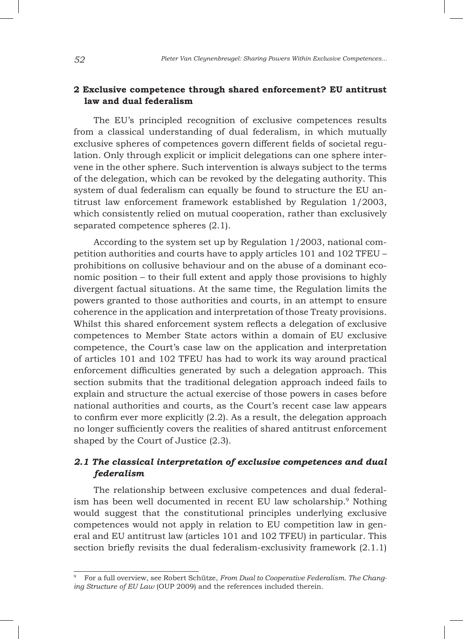# **2 Exclusive competence through shared enforcement? EU antitrust law and dual federalism**

The EU's principled recognition of exclusive competences results from a classical understanding of dual federalism, in which mutually exclusive spheres of competences govern different fields of societal regulation. Only through explicit or implicit delegations can one sphere intervene in the other sphere. Such intervention is always subject to the terms of the delegation, which can be revoked by the delegating authority. This system of dual federalism can equally be found to structure the EU antitrust law enforcement framework established by Regulation 1/2003, which consistently relied on mutual cooperation, rather than exclusively separated competence spheres (2.1).

According to the system set up by Regulation 1/2003, national competition authorities and courts have to apply articles 101 and 102 TFEU – prohibitions on collusive behaviour and on the abuse of a dominant economic position – to their full extent and apply those provisions to highly divergent factual situations. At the same time, the Regulation limits the powers granted to those authorities and courts, in an attempt to ensure coherence in the application and interpretation of those Treaty provisions. Whilst this shared enforcement system reflects a delegation of exclusive competences to Member State actors within a domain of EU exclusive competence, the Court's case law on the application and interpretation of articles 101 and 102 TFEU has had to work its way around practical enforcement difficulties generated by such a delegation approach. This section submits that the traditional delegation approach indeed fails to explain and structure the actual exercise of those powers in cases before national authorities and courts, as the Court's recent case law appears to confirm ever more explicitly (2.2). As a result, the delegation approach no longer sufficiently covers the realities of shared antitrust enforcement shaped by the Court of Justice (2.3).

# *2.1 The classical interpretation of exclusive competences and dual federalism*

The relationship between exclusive competences and dual federalism has been well documented in recent EU law scholarship.9 Nothing would suggest that the constitutional principles underlying exclusive competences would not apply in relation to EU competition law in general and EU antitrust law (articles 101 and 102 TFEU) in particular. This section briefly revisits the dual federalism-exclusivity framework (2.1.1)

<sup>9</sup> For a full overview, see Robert Schütze, *From Dual to Cooperative Federalism. The Changing Structure of EU Law* (OUP 2009) and the references included therein.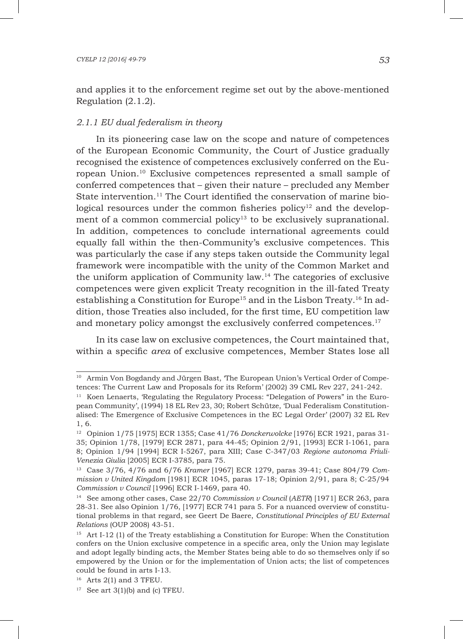and applies it to the enforcement regime set out by the above-mentioned Regulation (2.1.2).

## *2.1.1 EU dual federalism in theory*

In its pioneering case law on the scope and nature of competences of the European Economic Community, the Court of Justice gradually recognised the existence of competences exclusively conferred on the European Union.10 Exclusive competences represented a small sample of conferred competences that – given their nature – precluded any Member State intervention.<sup>11</sup> The Court identified the conservation of marine biological resources under the common fisheries policy<sup>12</sup> and the development of a common commercial policy<sup>13</sup> to be exclusively supranational. In addition, competences to conclude international agreements could equally fall within the then-Community's exclusive competences. This was particularly the case if any steps taken outside the Community legal framework were incompatible with the unity of the Common Market and the uniform application of Community law.14 The categories of exclusive competences were given explicit Treaty recognition in the ill-fated Treaty establishing a Constitution for Europe<sup>15</sup> and in the Lisbon Treaty.<sup>16</sup> In addition, those Treaties also included, for the first time, EU competition law and monetary policy amongst the exclusively conferred competences.<sup>17</sup>

In its case law on exclusive competences, the Court maintained that, within a specific *area* of exclusive competences, Member States lose all

<sup>&</sup>lt;sup>10</sup> Armin Von Bogdandy and Jürgen Bast, 'The European Union's Vertical Order of Competences: The Current Law and Proposals for its Reform' (2002) 39 CML Rev 227, 241-242.

<sup>&</sup>lt;sup>11</sup> Koen Lenaerts, 'Regulating the Regulatory Process: "Delegation of Powers" in the European Community', (1994) 18 EL Rev 23, 30; Robert Schütze, 'Dual Federalism Constitutionalised: The Emergence of Exclusive Competences in the EC Legal Order' (2007) 32 EL Rev 1, 6.

<sup>12</sup> Opinion 1/75 [1975] ECR 1355; Case 41/76 *Donckerwolcke* [1976] ECR 1921, paras 31- 35; Opinion 1/78, [1979] ECR 2871, para 44-45; Opinion 2/91, [1993] ECR I-1061, para 8; Opinion 1/94 [1994] ECR I-5267, para XIII; Case C-347/03 *Regione autonoma Friuli-Venezia Giulia* [2005] ECR I-3785, para 75.

<sup>13</sup> Case 3/76, 4/76 and 6/76 *Kramer* [1967] ECR 1279, paras 39-41; Case 804/79 *Commission v United Kingdom* [1981] ECR 1045, paras 17-18; Opinion 2/91, para 8; C-25/94 *Commission v Council* [1996] ECR I-1469, para 40.

<sup>14</sup> See among other cases, Case 22/70 *Commission v Council* (*AETR*) [1971] ECR 263, para 28-31. See also Opinion 1/76, [1977] ECR 741 para 5. For a nuanced overview of constitutional problems in that regard, see Geert De Baere, *Constitutional Principles of EU External Relations* (OUP 2008) 43-51.

<sup>15</sup> Art I-12 (1) of the Treaty establishing a Constitution for Europe: When the Constitution confers on the Union exclusive competence in a specific area, only the Union may legislate and adopt legally binding acts, the Member States being able to do so themselves only if so empowered by the Union or for the implementation of Union acts; the list of competences could be found in arts I-13.

 $16$  Arts 2(1) and 3 TFEU.

 $17$  See art 3(1)(b) and (c) TFEU.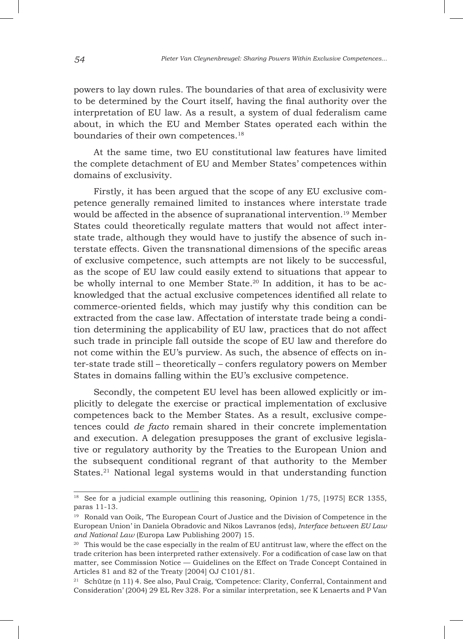powers to lay down rules. The boundaries of that area of exclusivity were to be determined by the Court itself, having the final authority over the interpretation of EU law. As a result, a system of dual federalism came about, in which the EU and Member States operated each within the boundaries of their own competences.<sup>18</sup>

At the same time, two EU constitutional law features have limited the complete detachment of EU and Member States' competences within domains of exclusivity.

Firstly, it has been argued that the scope of any EU exclusive competence generally remained limited to instances where interstate trade would be affected in the absence of supranational intervention.<sup>19</sup> Member States could theoretically regulate matters that would not affect interstate trade, although they would have to justify the absence of such interstate effects. Given the transnational dimensions of the specific areas of exclusive competence, such attempts are not likely to be successful, as the scope of EU law could easily extend to situations that appear to be wholly internal to one Member State.20 In addition, it has to be acknowledged that the actual exclusive competences identified all relate to commerce-oriented fields, which may justify why this condition can be extracted from the case law. Affectation of interstate trade being a condition determining the applicability of EU law, practices that do not affect such trade in principle fall outside the scope of EU law and therefore do not come within the EU's purview. As such, the absence of effects on inter-state trade still – theoretically – confers regulatory powers on Member States in domains falling within the EU's exclusive competence.

Secondly, the competent EU level has been allowed explicitly or implicitly to delegate the exercise or practical implementation of exclusive competences back to the Member States. As a result, exclusive competences could *de facto* remain shared in their concrete implementation and execution. A delegation presupposes the grant of exclusive legislative or regulatory authority by the Treaties to the European Union and the subsequent conditional regrant of that authority to the Member States.<sup>21</sup> National legal systems would in that understanding function

<sup>&</sup>lt;sup>18</sup> See for a judicial example outlining this reasoning, Opinion  $1/75$ , [1975] ECR 1355, paras 11-13.

<sup>&</sup>lt;sup>19</sup> Ronald van Ooik, 'The European Court of Justice and the Division of Competence in the European Union' in Daniela Obradovic and Nikos Lavranos (eds), *Interface between EU Law and National Law* (Europa Law Publishing 2007) 15.

 $20$  This would be the case especially in the realm of EU antitrust law, where the effect on the trade criterion has been interpreted rather extensively. For a codification of case law on that matter, see Commission Notice — Guidelines on the Effect on Trade Concept Contained in Articles 81 and 82 of the Treaty [2004] OJ C101/81.

<sup>21</sup> Schütze (n 11) 4. See also, Paul Craig, 'Competence: Clarity, Conferral, Containment and Consideration' (2004) 29 EL Rev 328. For a similar interpretation, see K Lenaerts and P Van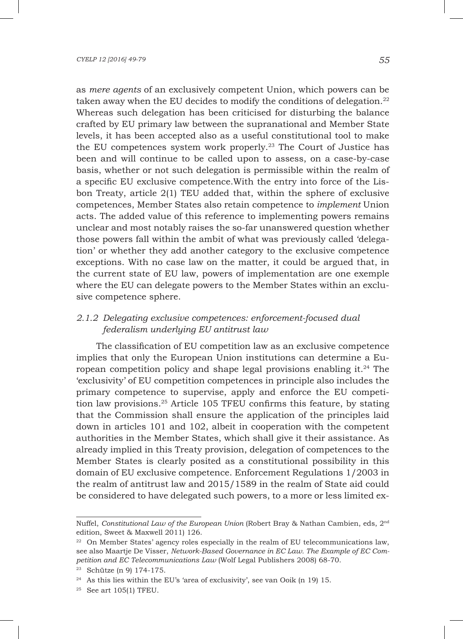as *mere agents* of an exclusively competent Union, which powers can be taken away when the EU decides to modify the conditions of delegation.<sup>22</sup> Whereas such delegation has been criticised for disturbing the balance crafted by EU primary law between the supranational and Member State levels, it has been accepted also as a useful constitutional tool to make the EU competences system work properly.<sup>23</sup> The Court of Justice has been and will continue to be called upon to assess, on a case-by-case basis, whether or not such delegation is permissible within the realm of a specific EU exclusive competence.With the entry into force of the Lisbon Treaty, article 2(1) TEU added that, within the sphere of exclusive competences, Member States also retain competence to *implement* Union acts. The added value of this reference to implementing powers remains unclear and most notably raises the so-far unanswered question whether those powers fall within the ambit of what was previously called 'delegation' or whether they add another category to the exclusive competence exceptions. With no case law on the matter, it could be argued that, in the current state of EU law, powers of implementation are one exemple where the EU can delegate powers to the Member States within an exclusive competence sphere.

# *2.1.2 Delegating exclusive competences: enforcement-focused dual federalism underlying EU antitrust law*

The classification of EU competition law as an exclusive competence implies that only the European Union institutions can determine a European competition policy and shape legal provisions enabling it.24 The 'exclusivity' of EU competition competences in principle also includes the primary competence to supervise, apply and enforce the EU competition law provisions.25 Article 105 TFEU confirms this feature, by stating that the Commission shall ensure the application of the principles laid down in articles 101 and 102, albeit in cooperation with the competent authorities in the Member States, which shall give it their assistance. As already implied in this Treaty provision, delegation of competences to the Member States is clearly posited as a constitutional possibility in this domain of EU exclusive competence. Enforcement Regulations 1/2003 in the realm of antitrust law and 2015/1589 in the realm of State aid could be considered to have delegated such powers, to a more or less limited ex-

Nuffel, *Constitutional Law of the European Union* (Robert Bray & Nathan Cambien, eds, 2nd edition, Sweet & Maxwell 2011) 126.

<sup>&</sup>lt;sup>22</sup> On Member States' agency roles especially in the realm of EU telecommunications law, see also Maartje De Visser, *Network-Based Governance in EC Law. The Example of EC Competition and EC Telecommunications Law* (Wolf Legal Publishers 2008) 68-70.

<sup>23</sup> Schütze (n 9) 174-175.

<sup>24</sup> As this lies within the EU's 'area of exclusivity', see van Ooik (n 19) 15.

<sup>25</sup> See art 105(1) TFEU.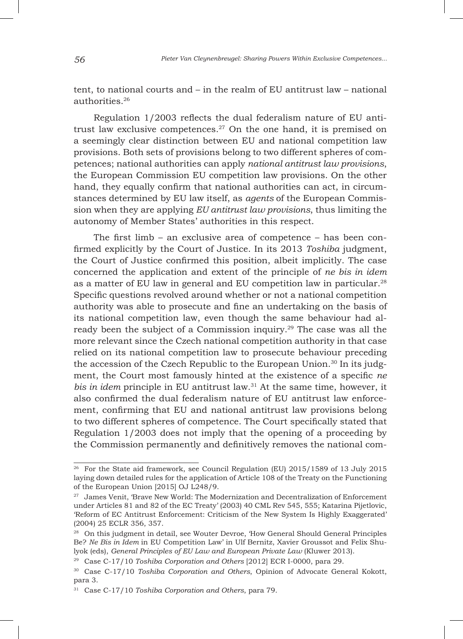tent, to national courts and – in the realm of EU antitrust law – national authorities.<sup>26</sup>

Regulation 1/2003 reflects the dual federalism nature of EU antitrust law exclusive competences.<sup>27</sup> On the one hand, it is premised on a seemingly clear distinction between EU and national competition law provisions. Both sets of provisions belong to two different spheres of competences; national authorities can apply *national antitrust law provisions*, the European Commission EU competition law provisions. On the other hand, they equally confirm that national authorities can act, in circumstances determined by EU law itself, as *agents* of the European Commission when they are applying *EU antitrust law provisions*, thus limiting the autonomy of Member States' authorities in this respect.

The first limb – an exclusive area of competence – has been confirmed explicitly by the Court of Justice. In its 2013 *Toshiba* judgment, the Court of Justice confirmed this position, albeit implicitly. The case concerned the application and extent of the principle of *ne bis in idem* as a matter of EU law in general and EU competition law in particular.28 Specific questions revolved around whether or not a national competition authority was able to prosecute and fine an undertaking on the basis of its national competition law, even though the same behaviour had already been the subject of a Commission inquiry.<sup>29</sup> The case was all the more relevant since the Czech national competition authority in that case relied on its national competition law to prosecute behaviour preceding the accession of the Czech Republic to the European Union.30 In its judgment, the Court most famously hinted at the existence of a specific *ne bis in idem* principle in EU antitrust law.31 At the same time, however, it also confirmed the dual federalism nature of EU antitrust law enforcement, confirming that EU and national antitrust law provisions belong to two different spheres of competence. The Court specifically stated that Regulation 1/2003 does not imply that the opening of a proceeding by the Commission permanently and definitively removes the national com-

<sup>26</sup> For the State aid framework, see Council Regulation (EU) 2015/1589 of 13 July 2015 laying down detailed rules for the application of Article 108 of the Treaty on the Functioning of the European Union [2015] OJ L248/9.

<sup>&</sup>lt;sup>27</sup> James Venit, 'Brave New World: The Modernization and Decentralization of Enforcement under Articles 81 and 82 of the EC Treaty' (2003) 40 CML Rev 545, 555; Katarina Pijetlovic, 'Reform of EC Antitrust Enforcement: Criticism of the New System Is Highly Exaggerated' (2004) 25 ECLR 356, 357.

<sup>&</sup>lt;sup>28</sup> On this judgment in detail, see Wouter Devroe, 'How General Should General Principles Be? *Ne Bis in Idem* in EU Competition Law' in Ulf Bernitz, Xavier Groussot and Felix Shulyok (eds), *General Principles of EU Law and European Private Law* (Kluwer 2013).

<sup>29</sup> Case C-17/10 *Toshiba Corporation and Others* [2012] ECR I-0000, para 29.

<sup>30</sup> Case C-17/10 *Toshiba Corporation and Others*, Opinion of Advocate General Kokott, para 3.

<sup>31</sup> Case C-17/10 *Toshiba Corporation and Others*, para 79.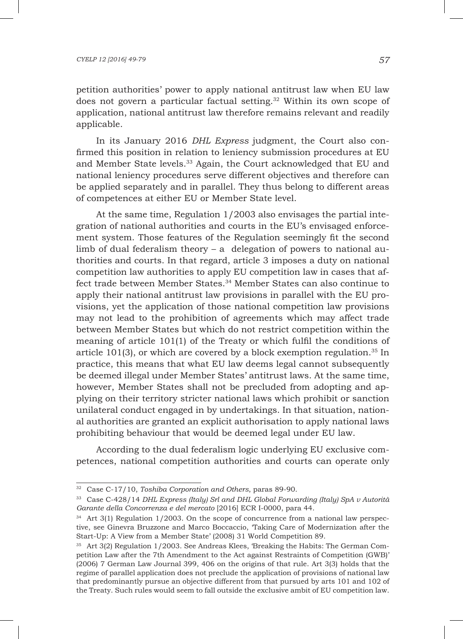#### *CYELP 12 [2016] 49-79 57*

petition authorities' power to apply national antitrust law when EU law does not govern a particular factual setting.<sup>32</sup> Within its own scope of application, national antitrust law therefore remains relevant and readily applicable.

In its January 2016 *DHL Express* judgment, the Court also confirmed this position in relation to leniency submission procedures at EU and Member State levels.33 Again, the Court acknowledged that EU and national leniency procedures serve different objectives and therefore can be applied separately and in parallel. They thus belong to different areas of competences at either EU or Member State level.

At the same time, Regulation 1/2003 also envisages the partial integration of national authorities and courts in the EU's envisaged enforcement system. Those features of the Regulation seemingly fit the second limb of dual federalism theory – a delegation of powers to national authorities and courts. In that regard, article 3 imposes a duty on national competition law authorities to apply EU competition law in cases that affect trade between Member States.34 Member States can also continue to apply their national antitrust law provisions in parallel with the EU provisions, yet the application of those national competition law provisions may not lead to the prohibition of agreements which may affect trade between Member States but which do not restrict competition within the meaning of article 101(1) of the Treaty or which fulfil the conditions of article 101(3), or which are covered by a block exemption regulation.<sup>35</sup> In practice, this means that what EU law deems legal cannot subsequently be deemed illegal under Member States' antitrust laws. At the same time, however, Member States shall not be precluded from adopting and applying on their territory stricter national laws which prohibit or sanction unilateral conduct engaged in by undertakings. In that situation, national authorities are granted an explicit authorisation to apply national laws prohibiting behaviour that would be deemed legal under EU law.

According to the dual federalism logic underlying EU exclusive competences, national competition authorities and courts can operate only

<sup>32</sup> Case C-17/10, *Toshiba Corporation and Others*, paras 89-90.

<sup>33</sup> Case C-428/14 *DHL Express (Italy) Srl and DHL Global Forwarding (Italy) SpA v Autorità Garante della Concorrenza e del mercato* [2016] ECR I-0000, para 44.

<sup>&</sup>lt;sup>34</sup> Art 3(1) Regulation 1/2003. On the scope of concurrence from a national law perspective, see Ginevra Bruzzone and Marco Boccaccio, 'Taking Care of Modernization after the Start-Up: A View from a Member State' (2008) 31 World Competition 89.

 $35$  Art 3(2) Regulation  $1/2003$ . See Andreas Klees, 'Breaking the Habits: The German Competition Law after the 7th Amendment to the Act against Restraints of Competition (GWB)' (2006) 7 German Law Journal 399, 406 on the origins of that rule. Art 3(3) holds that the regime of parallel application does not preclude the application of provisions of national law that predominantly pursue an objective different from that pursued by arts 101 and 102 of the Treaty. Such rules would seem to fall outside the exclusive ambit of EU competition law.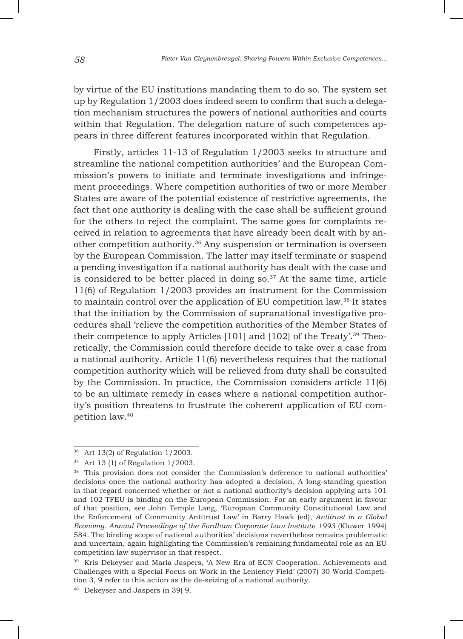by virtue of the EU institutions mandating them to do so. The system set up by Regulation 1/2003 does indeed seem to confirm that such a delegation mechanism structures the powers of national authorities and courts within that Regulation. The delegation nature of such competences appears in three different features incorporated within that Regulation.

Firstly, articles 11-13 of Regulation 1/2003 seeks to structure and streamline the national competition authorities' and the European Commission's powers to initiate and terminate investigations and infringement proceedings. Where competition authorities of two or more Member States are aware of the potential existence of restrictive agreements, the fact that one authority is dealing with the case shall be sufficient ground for the others to reject the complaint. The same goes for complaints received in relation to agreements that have already been dealt with by another competition authority.36 Any suspension or termination is overseen by the European Commission. The latter may itself terminate or suspend a pending investigation if a national authority has dealt with the case and is considered to be better placed in doing so. $37$  At the same time, article 11(6) of Regulation 1/2003 provides an instrument for the Commission to maintain control over the application of EU competition law.38 It states that the initiation by the Commission of supranational investigative procedures shall 'relieve the competition authorities of the Member States of their competence to apply Articles [101] and [102] of the Treaty'.39 Theoretically, the Commission could therefore decide to take over a case from a national authority. Article 11(6) nevertheless requires that the national competition authority which will be relieved from duty shall be consulted by the Commission. In practice, the Commission considers article 11(6) to be an ultimate remedy in cases where a national competition authority's position threatens to frustrate the coherent application of EU competition law.40

<sup>36</sup> Art 13(2) of Regulation 1/2003.

<sup>37</sup> Art 13 (1) of Regulation 1/2003.

<sup>38</sup> This provision does not consider the Commission's deference to national authorities' decisions once the national authority has adopted a decision. A long-standing question in that regard concerned whether or not a national authority's decision applying arts 101 and 102 TFEU is binding on the European Commission. For an early argument in favour of that position, see John Temple Lang, 'European Community Constitutional Law and the Enforcement of Community Antitrust Law' in Barry Hawk (ed), *Antitrust in a Global Economy. Annual Proceedings of the Fordham Corporate Law Institute 1993* (Kluwer 1994) 584. The binding scope of national authorities' decisions nevertheless remains problematic and uncertain, again highlighting the Commission's remaining fundamental role as an EU competition law supervisor in that respect.

<sup>39</sup> Kris Dekeyser and Maria Jaspers, 'A New Era of ECN Cooperation. Achievements and Challenges with a Special Focus on Work in the Leniency Field' (2007) 30 World Competition 3, 9 refer to this action as the de-seizing of a national authority.

<sup>40</sup> Dekeyser and Jaspers (n 39) 9.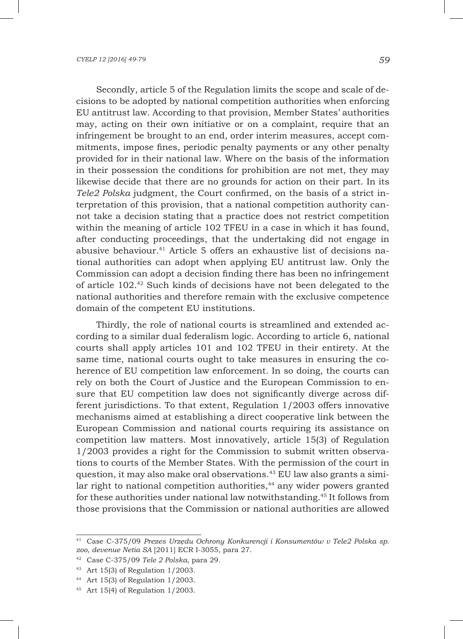Secondly, article 5 of the Regulation limits the scope and scale of decisions to be adopted by national competition authorities when enforcing EU antitrust law. According to that provision, Member States' authorities may, acting on their own initiative or on a complaint, require that an infringement be brought to an end, order interim measures, accept commitments, impose fines, periodic penalty payments or any other penalty provided for in their national law. Where on the basis of the information in their possession the conditions for prohibition are not met, they may likewise decide that there are no grounds for action on their part. In its *Tele2 Polska* judgment, the Court confirmed, on the basis of a strict interpretation of this provision, that a national competition authority cannot take a decision stating that a practice does not restrict competition within the meaning of article 102 TFEU in a case in which it has found, after conducting proceedings, that the undertaking did not engage in abusive behaviour.<sup>41</sup> Article 5 offers an exhaustive list of decisions national authorities can adopt when applying EU antitrust law. Only the Commission can adopt a decision finding there has been no infringement of article 102.42 Such kinds of decisions have not been delegated to the national authorities and therefore remain with the exclusive competence domain of the competent EU institutions.

Thirdly, the role of national courts is streamlined and extended according to a similar dual federalism logic. According to article 6, national courts shall apply articles 101 and 102 TFEU in their entirety. At the same time, national courts ought to take measures in ensuring the coherence of EU competition law enforcement. In so doing, the courts can rely on both the Court of Justice and the European Commission to ensure that EU competition law does not significantly diverge across different jurisdictions. To that extent, Regulation 1/2003 offers innovative mechanisms aimed at establishing a direct cooperative link between the European Commission and national courts requiring its assistance on competition law matters. Most innovatively, article 15(3) of Regulation 1/2003 provides a right for the Commission to submit written observations to courts of the Member States. With the permission of the court in question, it may also make oral observations.43 EU law also grants a similar right to national competition authorities,<sup>44</sup> any wider powers granted for these authorities under national law notwithstanding.45 It follows from those provisions that the Commission or national authorities are allowed

<sup>43</sup> Art 15(3) of Regulation 1/2003.

<sup>41</sup> Case C-375/09 *Prezes Urzędu Ochrony Konkurencji i Konsumentów v Tele2 Polska sp. zoo, devenue Netia SA* [2011] ECR I-3055, para 27.

<sup>42</sup> Case C-375/09 *Tele 2 Polska*, para 29.

<sup>44</sup> Art 15(3) of Regulation 1/2003.

 $45$  Art 15(4) of Regulation 1/2003.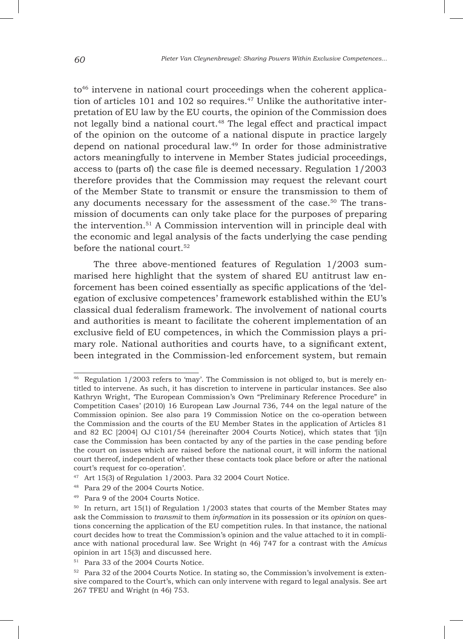to<sup>46</sup> intervene in national court proceedings when the coherent application of articles 101 and 102 so requires. $47$  Unlike the authoritative interpretation of EU law by the EU courts, the opinion of the Commission does not legally bind a national court.<sup>48</sup> The legal effect and practical impact of the opinion on the outcome of a national dispute in practice largely depend on national procedural law.49 In order for those administrative actors meaningfully to intervene in Member States judicial proceedings, access to (parts of) the case file is deemed necessary. Regulation 1/2003 therefore provides that the Commission may request the relevant court of the Member State to transmit or ensure the transmission to them of any documents necessary for the assessment of the case.<sup>50</sup> The transmission of documents can only take place for the purposes of preparing the intervention.51 A Commission intervention will in principle deal with the economic and legal analysis of the facts underlying the case pending before the national court.<sup>52</sup>

The three above-mentioned features of Regulation 1/2003 summarised here highlight that the system of shared EU antitrust law enforcement has been coined essentially as specific applications of the 'delegation of exclusive competences' framework established within the EU's classical dual federalism framework. The involvement of national courts and authorities is meant to facilitate the coherent implementation of an exclusive field of EU competences, in which the Commission plays a primary role. National authorities and courts have, to a significant extent, been integrated in the Commission-led enforcement system, but remain

<sup>46</sup> Regulation 1/2003 refers to 'may'. The Commission is not obliged to, but is merely entitled to intervene. As such, it has discretion to intervene in particular instances. See also Kathryn Wright, 'The European Commission's Own "Preliminary Reference Procedure" in Competition Cases' (2010) 16 European Law Journal 736, 744 on the legal nature of the Commission opinion. See also para 19 Commission Notice on the co-operation between the Commission and the courts of the EU Member States in the application of Articles 81 and 82 EC [2004] OJ C101/54 (hereinafter 2004 Courts Notice), which states that '[i]n case the Commission has been contacted by any of the parties in the case pending before the court on issues which are raised before the national court, it will inform the national court thereof, independent of whether these contacts took place before or after the national court's request for co-operation'.

<sup>47</sup> Art 15(3) of Regulation 1/2003. Para 32 2004 Court Notice.

<sup>48</sup> Para 29 of the 2004 Courts Notice.

<sup>49</sup> Para 9 of the 2004 Courts Notice.

 $50$  In return, art 15(1) of Regulation 1/2003 states that courts of the Member States may ask the Commission to *transmit* to them *information* in its possession or its *opinion* on questions concerning the application of the EU competition rules. In that instance, the national court decides how to treat the Commission's opinion and the value attached to it in compliance with national procedural law. See Wright (n 46) 747 for a contrast with the *Amicus*  opinion in art 15(3) and discussed here.

<sup>51</sup> Para 33 of the 2004 Courts Notice.

<sup>52</sup> Para 32 of the 2004 Courts Notice. In stating so, the Commission's involvement is extensive compared to the Court's, which can only intervene with regard to legal analysis. See art 267 TFEU and Wright (n 46) 753.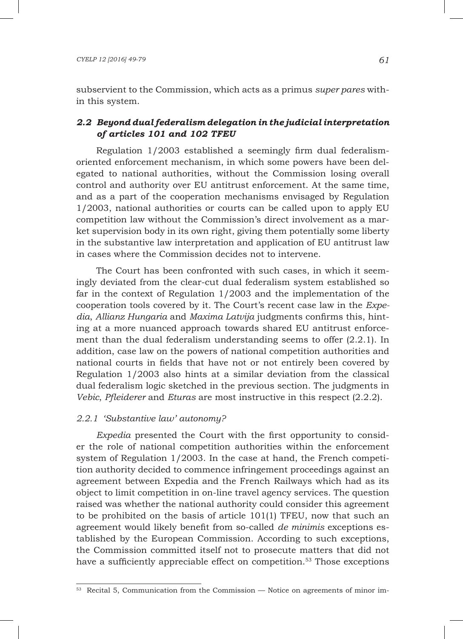subservient to the Commission, which acts as a primus *super pares* within this system.

# *2.2 Beyond dual federalism delegation in the judicial interpretation of articles 101 and 102 TFEU*

Regulation 1/2003 established a seemingly firm dual federalismoriented enforcement mechanism, in which some powers have been delegated to national authorities, without the Commission losing overall control and authority over EU antitrust enforcement. At the same time, and as a part of the cooperation mechanisms envisaged by Regulation 1/2003, national authorities or courts can be called upon to apply EU competition law without the Commission's direct involvement as a market supervision body in its own right, giving them potentially some liberty in the substantive law interpretation and application of EU antitrust law in cases where the Commission decides not to intervene.

The Court has been confronted with such cases, in which it seemingly deviated from the clear-cut dual federalism system established so far in the context of Regulation 1/2003 and the implementation of the cooperation tools covered by it. The Court's recent case law in the *Expedia*, *Allianz Hungaria* and *Maxima Latvija* judgments confirms this, hinting at a more nuanced approach towards shared EU antitrust enforcement than the dual federalism understanding seems to offer (2.2.1). In addition, case law on the powers of national competition authorities and national courts in fields that have not or not entirely been covered by Regulation 1/2003 also hints at a similar deviation from the classical dual federalism logic sketched in the previous section. The judgments in *Vebic*, *Pfleiderer* and *Eturas* are most instructive in this respect (2.2.2).

## *2.2.1 'Substantive law' autonomy?*

*Expedia* presented the Court with the first opportunity to consider the role of national competition authorities within the enforcement system of Regulation 1/2003. In the case at hand, the French competition authority decided to commence infringement proceedings against an agreement between Expedia and the French Railways which had as its object to limit competition in on-line travel agency services. The question raised was whether the national authority could consider this agreement to be prohibited on the basis of article 101(1) TFEU, now that such an agreement would likely benefit from so-called *de minimis* exceptions established by the European Commission. According to such exceptions, the Commission committed itself not to prosecute matters that did not have a sufficiently appreciable effect on competition.<sup>53</sup> Those exceptions

<sup>53</sup> Recital 5, Communication from the Commission — Notice on agreements of minor im-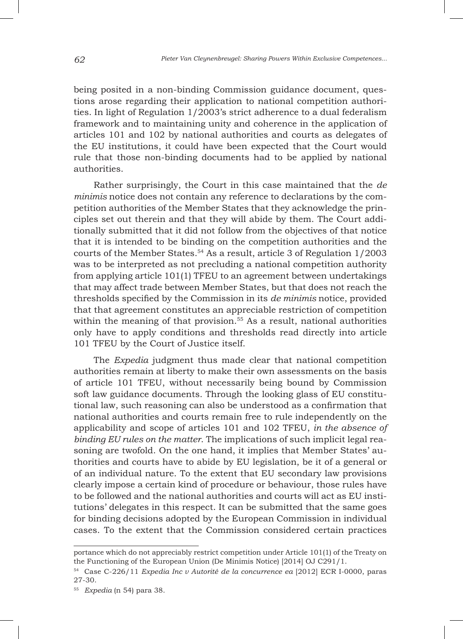being posited in a non-binding Commission guidance document, questions arose regarding their application to national competition authorities. In light of Regulation 1/2003's strict adherence to a dual federalism framework and to maintaining unity and coherence in the application of articles 101 and 102 by national authorities and courts as delegates of the EU institutions, it could have been expected that the Court would rule that those non-binding documents had to be applied by national authorities.

Rather surprisingly, the Court in this case maintained that the *de minimis* notice does not contain any reference to declarations by the competition authorities of the Member States that they acknowledge the principles set out therein and that they will abide by them. The Court additionally submitted that it did not follow from the objectives of that notice that it is intended to be binding on the competition authorities and the courts of the Member States.54 As a result, article 3 of Regulation 1/2003 was to be interpreted as not precluding a national competition authority from applying article 101(1) TFEU to an agreement between undertakings that may affect trade between Member States, but that does not reach the thresholds specified by the Commission in its *de minimis* notice, provided that that agreement constitutes an appreciable restriction of competition within the meaning of that provision.<sup>55</sup> As a result, national authorities only have to apply conditions and thresholds read directly into article 101 TFEU by the Court of Justice itself.

The *Expedia* judgment thus made clear that national competition authorities remain at liberty to make their own assessments on the basis of article 101 TFEU, without necessarily being bound by Commission soft law guidance documents. Through the looking glass of EU constitutional law, such reasoning can also be understood as a confirmation that national authorities and courts remain free to rule independently on the applicability and scope of articles 101 and 102 TFEU, *in the absence of binding EU rules on the matter*. The implications of such implicit legal reasoning are twofold. On the one hand, it implies that Member States' authorities and courts have to abide by EU legislation, be it of a general or of an individual nature. To the extent that EU secondary law provisions clearly impose a certain kind of procedure or behaviour, those rules have to be followed and the national authorities and courts will act as EU institutions' delegates in this respect. It can be submitted that the same goes for binding decisions adopted by the European Commission in individual cases. To the extent that the Commission considered certain practices

portance which do not appreciably restrict competition under Article 101(1) of the Treaty on the Functioning of the European Union (De Minimis Notice) [2014] OJ C291/1.

<sup>54</sup> Case C-226/11 *Expedia Inc v Autorité de la concurrence ea* [2012] ECR I-0000, paras 27-30.

<sup>55</sup> *Expedia* (n 54) para 38.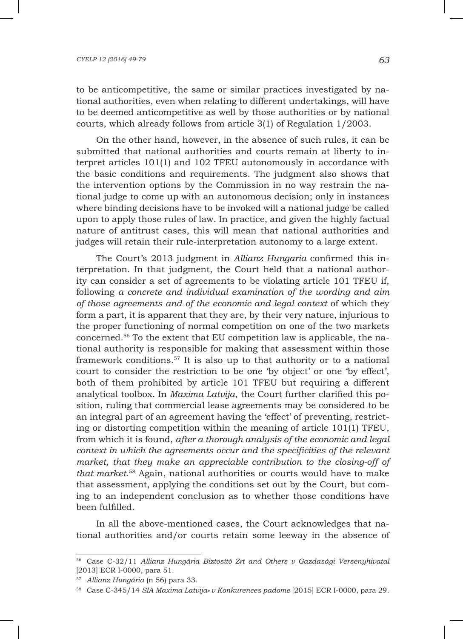#### *CYELP 12 [2016] 49-79 63*

to be anticompetitive, the same or similar practices investigated by national authorities, even when relating to different undertakings, will have to be deemed anticompetitive as well by those authorities or by national courts, which already follows from article 3(1) of Regulation 1/2003.

On the other hand, however, in the absence of such rules, it can be submitted that national authorities and courts remain at liberty to interpret articles 101(1) and 102 TFEU autonomously in accordance with the basic conditions and requirements. The judgment also shows that the intervention options by the Commission in no way restrain the national judge to come up with an autonomous decision; only in instances where binding decisions have to be invoked will a national judge be called upon to apply those rules of law. In practice, and given the highly factual nature of antitrust cases, this will mean that national authorities and judges will retain their rule-interpretation autonomy to a large extent.

The Court's 2013 judgment in *Allianz Hungaria* confirmed this interpretation. In that judgment, the Court held that a national authority can consider a set of agreements to be violating article 101 TFEU if, following *a concrete and individual examination of the wording and aim of those agreements and of the economic and legal context* of which they form a part, it is apparent that they are, by their very nature, injurious to the proper functioning of normal competition on one of the two markets concerned.56 To the extent that EU competition law is applicable, the national authority is responsible for making that assessment within those framework conditions.57 It is also up to that authority or to a national court to consider the restriction to be one 'by object' or one 'by effect', both of them prohibited by article 101 TFEU but requiring a different analytical toolbox. In *Maxima Latvija*, the Court further clarified this position, ruling that commercial lease agreements may be considered to be an integral part of an agreement having the 'effect' of preventing, restricting or distorting competition within the meaning of article 101(1) TFEU, from which it is found, *after a thorough analysis of the economic and legal context in which the agreements occur and the specificities of the relevant market, that they make an appreciable contribution to the closing-off of that market*. 58 Again, national authorities or courts would have to make that assessment, applying the conditions set out by the Court, but coming to an independent conclusion as to whether those conditions have been fulfilled.

In all the above-mentioned cases, the Court acknowledges that national authorities and/or courts retain some leeway in the absence of

<sup>56</sup> Case C-32/11 *Allianz Hungária Biztosító Zrt and Others v Gazdasági Versenyhivatal* [2013] ECR I-0000, para 51.

<sup>57</sup> *Allianz Hungária* (n 56) para 33.

<sup>58</sup> Case C-345/14 *SIA Maxima Latvija» v Konkurences padome* [2015] ECR I-0000, para 29.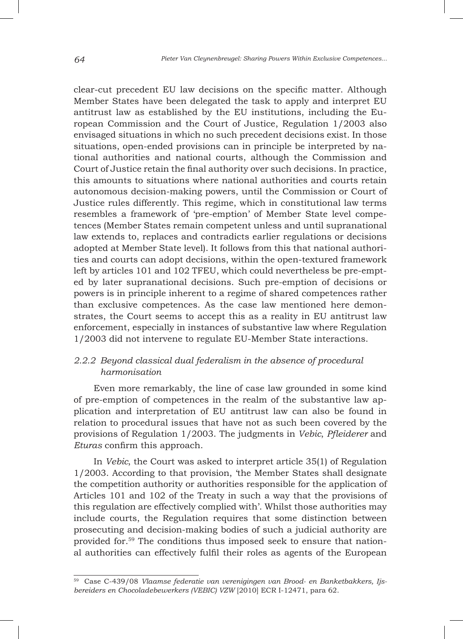clear-cut precedent EU law decisions on the specific matter. Although Member States have been delegated the task to apply and interpret EU antitrust law as established by the EU institutions, including the European Commission and the Court of Justice, Regulation 1/2003 also envisaged situations in which no such precedent decisions exist. In those situations, open-ended provisions can in principle be interpreted by national authorities and national courts, although the Commission and Court of Justice retain the final authority over such decisions. In practice, this amounts to situations where national authorities and courts retain autonomous decision-making powers, until the Commission or Court of Justice rules differently. This regime, which in constitutional law terms resembles a framework of 'pre-emption' of Member State level competences (Member States remain competent unless and until supranational law extends to, replaces and contradicts earlier regulations or decisions adopted at Member State level). It follows from this that national authorities and courts can adopt decisions, within the open-textured framework left by articles 101 and 102 TFEU, which could nevertheless be pre-empted by later supranational decisions. Such pre-emption of decisions or powers is in principle inherent to a regime of shared competences rather than exclusive competences. As the case law mentioned here demonstrates, the Court seems to accept this as a reality in EU antitrust law enforcement, especially in instances of substantive law where Regulation 1/2003 did not intervene to regulate EU-Member State interactions.

# *2.2.2 Beyond classical dual federalism in the absence of procedural harmonisation*

Even more remarkably, the line of case law grounded in some kind of pre-emption of competences in the realm of the substantive law application and interpretation of EU antitrust law can also be found in relation to procedural issues that have not as such been covered by the provisions of Regulation 1/2003. The judgments in *Vebic*, *Pfleiderer* and *Eturas* confirm this approach.

In *Vebic*, the Court was asked to interpret article 35(1) of Regulation 1/2003. According to that provision, 'the Member States shall designate the competition authority or authorities responsible for the application of Articles 101 and 102 of the Treaty in such a way that the provisions of this regulation are effectively complied with'. Whilst those authorities may include courts, the Regulation requires that some distinction between prosecuting and decision-making bodies of such a judicial authority are provided for.59 The conditions thus imposed seek to ensure that national authorities can effectively fulfil their roles as agents of the European

<sup>59</sup> Case C-439/08 *Vlaamse federatie van verenigingen van Brood- en Banketbakkers, Ijsbereiders en Chocoladebewerkers (VEBIC) VZW* [2010] ECR I-12471, para 62.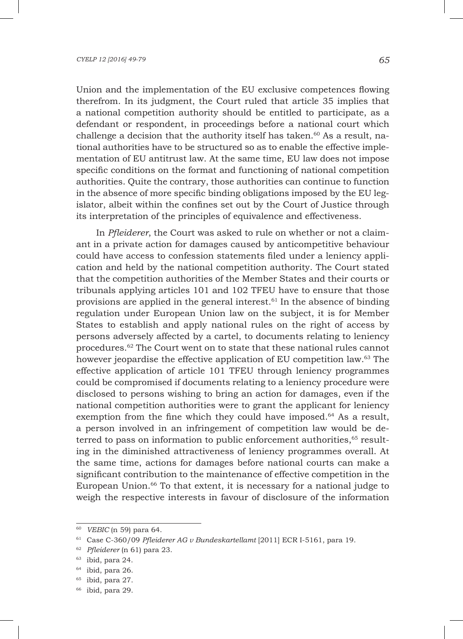Union and the implementation of the EU exclusive competences flowing therefrom. In its judgment, the Court ruled that article 35 implies that a national competition authority should be entitled to participate, as a defendant or respondent, in proceedings before a national court which challenge a decision that the authority itself has taken.<sup>60</sup> As a result, national authorities have to be structured so as to enable the effective implementation of EU antitrust law. At the same time, EU law does not impose specific conditions on the format and functioning of national competition authorities. Quite the contrary, those authorities can continue to function in the absence of more specific binding obligations imposed by the EU legislator, albeit within the confines set out by the Court of Justice through its interpretation of the principles of equivalence and effectiveness.

In *Pfleiderer*, the Court was asked to rule on whether or not a claimant in a private action for damages caused by anticompetitive behaviour could have access to confession statements filed under a leniency application and held by the national competition authority. The Court stated that the competition authorities of the Member States and their courts or tribunals applying articles 101 and 102 TFEU have to ensure that those provisions are applied in the general interest.<sup> $61$ </sup> In the absence of binding regulation under European Union law on the subject, it is for Member States to establish and apply national rules on the right of access by persons adversely affected by a cartel, to documents relating to leniency procedures.62 The Court went on to state that these national rules cannot however jeopardise the effective application of EU competition law.63 The effective application of article 101 TFEU through leniency programmes could be compromised if documents relating to a leniency procedure were disclosed to persons wishing to bring an action for damages, even if the national competition authorities were to grant the applicant for leniency exemption from the fine which they could have imposed. $64$  As a result, a person involved in an infringement of competition law would be deterred to pass on information to public enforcement authorities,<sup>65</sup> resulting in the diminished attractiveness of leniency programmes overall. At the same time, actions for damages before national courts can make a significant contribution to the maintenance of effective competition in the European Union.66 To that extent, it is necessary for a national judge to weigh the respective interests in favour of disclosure of the information

<sup>60</sup> *VEBIC* (n 59) para 64.

<sup>61</sup> Case C-360/09 *Pfleiderer AG v Bundeskartellamt* [2011] ECR I-5161, para 19.

<sup>62</sup> *Pfleiderer* (n 61) para 23.

 $63$  ibid, para 24.

<sup>64</sup> ibid, para 26.

<sup>&</sup>lt;sup>65</sup> ibid, para 27.

 $66$  ibid, para 29.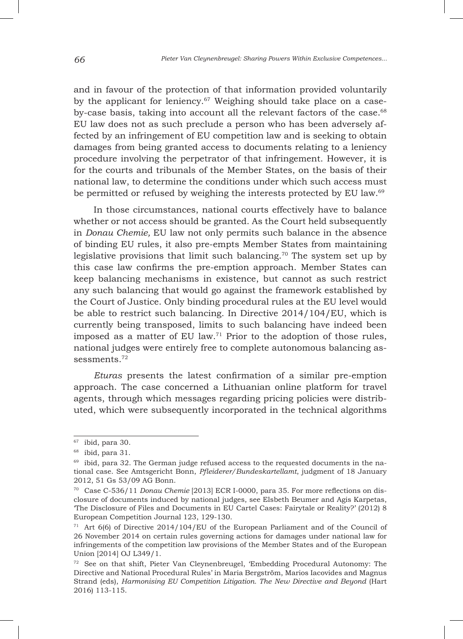and in favour of the protection of that information provided voluntarily by the applicant for leniency.<sup>67</sup> Weighing should take place on a caseby-case basis, taking into account all the relevant factors of the case.68 EU law does not as such preclude a person who has been adversely affected by an infringement of EU competition law and is seeking to obtain damages from being granted access to documents relating to a leniency procedure involving the perpetrator of that infringement. However, it is for the courts and tribunals of the Member States, on the basis of their national law, to determine the conditions under which such access must be permitted or refused by weighing the interests protected by EU law.<sup>69</sup>

In those circumstances, national courts effectively have to balance whether or not access should be granted. As the Court held subsequently in *Donau Chemie,* EU law not only permits such balance in the absence of binding EU rules, it also pre-empts Member States from maintaining legislative provisions that limit such balancing.70 The system set up by this case law confirms the pre-emption approach. Member States can keep balancing mechanisms in existence, but cannot as such restrict any such balancing that would go against the framework established by the Court of Justice. Only binding procedural rules at the EU level would be able to restrict such balancing. In Directive 2014/104/EU, which is currently being transposed, limits to such balancing have indeed been imposed as a matter of EU law.71 Prior to the adoption of those rules, national judges were entirely free to complete autonomous balancing assessments.72

*Eturas* presents the latest confirmation of a similar pre-emption approach. The case concerned a Lithuanian online platform for travel agents, through which messages regarding pricing policies were distributed, which were subsequently incorporated in the technical algorithms

 $67$  ibid, para 30.

<sup>68</sup> ibid, para 31.

 $69$  ibid, para 32. The German judge refused access to the requested documents in the national case. See Amtsgericht Bonn, *Pfleiderer/Bundeskartellamt*, judgment of 18 January 2012, 51 Gs 53/09 AG Bonn.

<sup>70</sup> Case C-536/11 *Donau Chemie* [2013] ECR I-0000, para 35. For more reflections on disclosure of documents induced by national judges, see Elsbeth Beumer and Agis Karpetas, 'The Disclosure of Files and Documents in EU Cartel Cases: Fairytale or Reality?' (2012) 8 European Competition Journal 123, 129-130.

<sup>71</sup> Art 6(6) of Directive 2014/104/EU of the European Parliament and of the Council of 26 November 2014 on certain rules governing actions for damages under national law for infringements of the competition law provisions of the Member States and of the European Union [2014] OJ L349/1.

<sup>72</sup> See on that shift, Pieter Van Cleynenbreugel, 'Embedding Procedural Autonomy: The Directive and National Procedural Rules' in Maria Bergström, Marios Iacovides and Magnus Strand (eds), *Harmonising EU Competition Litigation. The New Directive and Beyond* (Hart 2016) 113-115.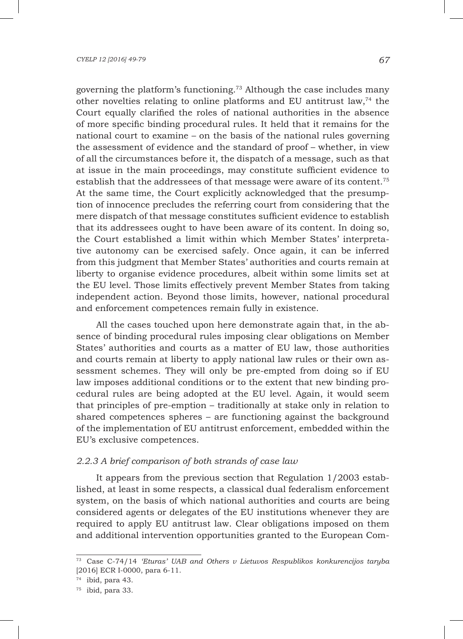governing the platform's functioning.73 Although the case includes many other novelties relating to online platforms and EU antitrust law,<sup>74</sup> the Court equally clarified the roles of national authorities in the absence of more specific binding procedural rules. It held that it remains for the national court to examine – on the basis of the national rules governing the assessment of evidence and the standard of proof – whether, in view of all the circumstances before it, the dispatch of a message, such as that at issue in the main proceedings, may constitute sufficient evidence to establish that the addressees of that message were aware of its content.75 At the same time, the Court explicitly acknowledged that the presumption of innocence precludes the referring court from considering that the mere dispatch of that message constitutes sufficient evidence to establish that its addressees ought to have been aware of its content. In doing so, the Court established a limit within which Member States' interpretative autonomy can be exercised safely. Once again, it can be inferred from this judgment that Member States' authorities and courts remain at liberty to organise evidence procedures, albeit within some limits set at the EU level. Those limits effectively prevent Member States from taking independent action. Beyond those limits, however, national procedural and enforcement competences remain fully in existence.

All the cases touched upon here demonstrate again that, in the absence of binding procedural rules imposing clear obligations on Member States' authorities and courts as a matter of EU law, those authorities and courts remain at liberty to apply national law rules or their own assessment schemes. They will only be pre-empted from doing so if EU law imposes additional conditions or to the extent that new binding procedural rules are being adopted at the EU level. Again, it would seem that principles of pre-emption – traditionally at stake only in relation to shared competences spheres – are functioning against the background of the implementation of EU antitrust enforcement, embedded within the EU's exclusive competences.

### *2.2.3 A brief comparison of both strands of case law*

It appears from the previous section that Regulation 1/2003 established, at least in some respects, a classical dual federalism enforcement system, on the basis of which national authorities and courts are being considered agents or delegates of the EU institutions whenever they are required to apply EU antitrust law. Clear obligations imposed on them and additional intervention opportunities granted to the European Com-

<sup>73</sup> Case C-74/14 *'Eturas' UAB and Others v Lietuvos Respublikos konkurencijos taryba* [2016] ECR I-0000, para 6-11.

<sup>74</sup> ibid, para 43.

 $75$  ibid, para 33.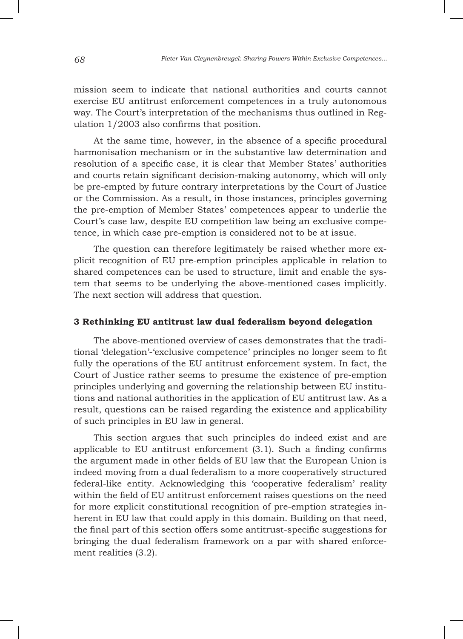mission seem to indicate that national authorities and courts cannot exercise EU antitrust enforcement competences in a truly autonomous way. The Court's interpretation of the mechanisms thus outlined in Regulation 1/2003 also confirms that position.

At the same time, however, in the absence of a specific procedural harmonisation mechanism or in the substantive law determination and resolution of a specific case, it is clear that Member States' authorities and courts retain significant decision-making autonomy, which will only be pre-empted by future contrary interpretations by the Court of Justice or the Commission. As a result, in those instances, principles governing the pre-emption of Member States' competences appear to underlie the Court's case law, despite EU competition law being an exclusive competence, in which case pre-emption is considered not to be at issue.

The question can therefore legitimately be raised whether more explicit recognition of EU pre-emption principles applicable in relation to shared competences can be used to structure, limit and enable the system that seems to be underlying the above-mentioned cases implicitly. The next section will address that question.

### **3 Rethinking EU antitrust law dual federalism beyond delegation**

The above-mentioned overview of cases demonstrates that the traditional 'delegation'-'exclusive competence' principles no longer seem to fit fully the operations of the EU antitrust enforcement system. In fact, the Court of Justice rather seems to presume the existence of pre-emption principles underlying and governing the relationship between EU institutions and national authorities in the application of EU antitrust law. As a result, questions can be raised regarding the existence and applicability of such principles in EU law in general.

This section argues that such principles do indeed exist and are applicable to EU antitrust enforcement (3.1). Such a finding confirms the argument made in other fields of EU law that the European Union is indeed moving from a dual federalism to a more cooperatively structured federal-like entity. Acknowledging this 'cooperative federalism' reality within the field of EU antitrust enforcement raises questions on the need for more explicit constitutional recognition of pre-emption strategies inherent in EU law that could apply in this domain. Building on that need, the final part of this section offers some antitrust-specific suggestions for bringing the dual federalism framework on a par with shared enforcement realities (3.2).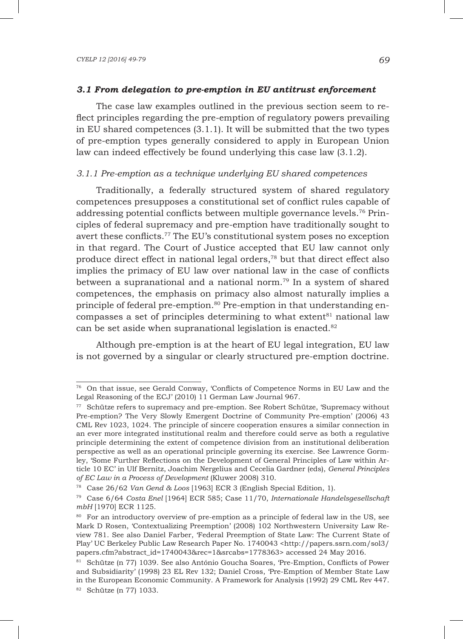### *3.1 From delegation to pre-emption in EU antitrust enforcement*

The case law examples outlined in the previous section seem to reflect principles regarding the pre-emption of regulatory powers prevailing in EU shared competences (3.1.1). It will be submitted that the two types of pre-emption types generally considered to apply in European Union law can indeed effectively be found underlying this case law (3.1.2).

### *3.1.1 Pre-emption as a technique underlying EU shared competences*

Traditionally, a federally structured system of shared regulatory competences presupposes a constitutional set of conflict rules capable of addressing potential conflicts between multiple governance levels.76 Principles of federal supremacy and pre-emption have traditionally sought to avert these conflicts.77 The EU's constitutional system poses no exception in that regard. The Court of Justice accepted that EU law cannot only produce direct effect in national legal orders,<sup>78</sup> but that direct effect also implies the primacy of EU law over national law in the case of conflicts between a supranational and a national norm.<sup>79</sup> In a system of shared competences, the emphasis on primacy also almost naturally implies a principle of federal pre-emption.80 Pre-emption in that understanding encompasses a set of principles determining to what extent<sup>81</sup> national law can be set aside when supranational legislation is enacted.<sup>82</sup>

Although pre-emption is at the heart of EU legal integration, EU law is not governed by a singular or clearly structured pre-emption doctrine.

<sup>76</sup> On that issue, see Gerald Conway, 'Conflicts of Competence Norms in EU Law and the Legal Reasoning of the ECJ' (2010) 11 German Law Journal 967.

<sup>77</sup> Schütze refers to supremacy and pre-emption. See Robert Schütze, 'Supremacy without Pre-emption? The Very Slowly Emergent Doctrine of Community Pre-emption' (2006) 43 CML Rev 1023, 1024. The principle of sincere cooperation ensures a similar connection in an ever more integrated institutional realm and therefore could serve as both a regulative principle determining the extent of competence division from an institutional deliberation perspective as well as an operational principle governing its exercise. See Lawrence Gormley, 'Some Further Reflections on the Development of General Principles of Law within Article 10 EC' in Ulf Bernitz, Joachim Nergelius and Cecelia Gardner (eds), *General Principles of EC Law in a Process of Development* (Kluwer 2008) 310.

<sup>78</sup> Case 26/62 *Van Gend & Loos* [1963] ECR 3 (English Special Edition, 1).

<sup>79</sup> Case 6/64 *Costa Enel* [1964] ECR 585; Case 11/70, *Internationale Handelsgesellschaft mbH* [1970] ECR 1125.

<sup>&</sup>lt;sup>80</sup> For an introductory overview of pre-emption as a principle of federal law in the US, see Mark D Rosen, 'Contextualizing Preemption' (2008) 102 Northwestern University Law Review 781. See also Daniel Farber, 'Federal Preemption of State Law: The Current State of Play' UC Berkeley Public Law Research Paper No. 1740043 <http://papers.ssrn.com/sol3/ papers.cfm?abstract\_id=1740043&rec=1&srcabs=1778363> accessed 24 May 2016.

<sup>81</sup> Schütze (n 77) 1039. See also António Goucha Soares, 'Pre-Emption, Conflicts of Power and Subsidiarity' (1998) 23 EL Rev 132; Daniel Cross, 'Pre-Emption of Member State Law in the European Economic Community. A Framework for Analysis (1992) 29 CML Rev 447. <sup>82</sup> Schütze (n 77) 1033.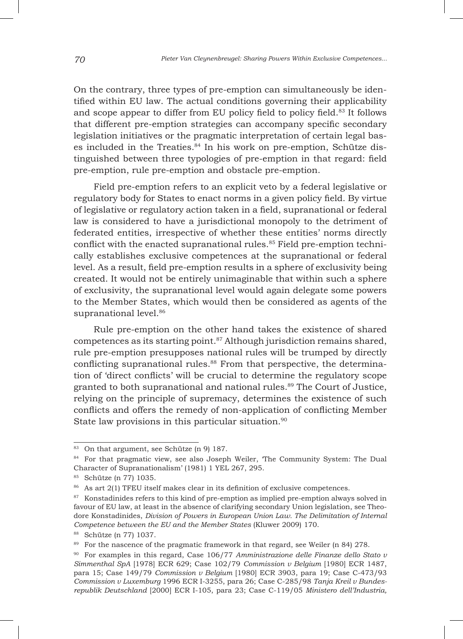On the contrary, three types of pre-emption can simultaneously be identified within EU law. The actual conditions governing their applicability and scope appear to differ from EU policy field to policy field.<sup>83</sup> It follows that different pre-emption strategies can accompany specific secondary legislation initiatives or the pragmatic interpretation of certain legal bases included in the Treaties.<sup>84</sup> In his work on pre-emption, Schütze distinguished between three typologies of pre-emption in that regard: field pre-emption, rule pre-emption and obstacle pre-emption.

Field pre-emption refers to an explicit veto by a federal legislative or regulatory body for States to enact norms in a given policy field. By virtue of legislative or regulatory action taken in a field, supranational or federal law is considered to have a jurisdictional monopoly to the detriment of federated entities, irrespective of whether these entities' norms directly conflict with the enacted supranational rules.<sup>85</sup> Field pre-emption technically establishes exclusive competences at the supranational or federal level. As a result, field pre-emption results in a sphere of exclusivity being created. It would not be entirely unimaginable that within such a sphere of exclusivity, the supranational level would again delegate some powers to the Member States, which would then be considered as agents of the supranational level.<sup>86</sup>

Rule pre-emption on the other hand takes the existence of shared competences as its starting point.87 Although jurisdiction remains shared, rule pre-emption presupposes national rules will be trumped by directly conflicting supranational rules.<sup>88</sup> From that perspective, the determination of 'direct conflicts' will be crucial to determine the regulatory scope granted to both supranational and national rules.<sup>89</sup> The Court of Justice, relying on the principle of supremacy, determines the existence of such conflicts and offers the remedy of non-application of conflicting Member State law provisions in this particular situation.<sup>90</sup>

<sup>83</sup> On that argument, see Schütze (n 9) 187.

<sup>84</sup> For that pragmatic view, see also Joseph Weiler, 'The Community System: The Dual Character of Supranationalism' (1981) 1 YEL 267, 295.

<sup>85</sup> Schütze (n 77) 1035.

<sup>86</sup> As art 2(1) TFEU itself makes clear in its definition of exclusive competences.

<sup>&</sup>lt;sup>87</sup> Konstadinides refers to this kind of pre-emption as implied pre-emption always solved in favour of EU law, at least in the absence of clarifying secondary Union legislation, see Theodore Konstadinides, *Division of Powers in European Union Law. The Delimitation of Internal Competence between the EU and the Member States* (Kluwer 2009) 170.

<sup>88</sup> Schütze (n 77) 1037.

<sup>&</sup>lt;sup>89</sup> For the nascence of the pragmatic framework in that regard, see Weiler (n 84) 278.

<sup>90</sup> For examples in this regard, Case 106/77 *Amministrazione delle Finanze dello Stato v Simmenthal SpA* [1978] ECR 629; Case 102/79 *Commission v Belgium* [1980] ECR 1487, para 15; Case 149/79 *Commission v Belgium* [1980] ECR 3903, para 19; Case C-473/93 *Commission v Luxemburg* 1996 ECR I-3255, para 26; Case C-285/98 *Tanja Kreil v Bundesrepublik Deutschland* [2000] ECR I-105, para 23; Case C-119/05 *Ministero dell'Industria,*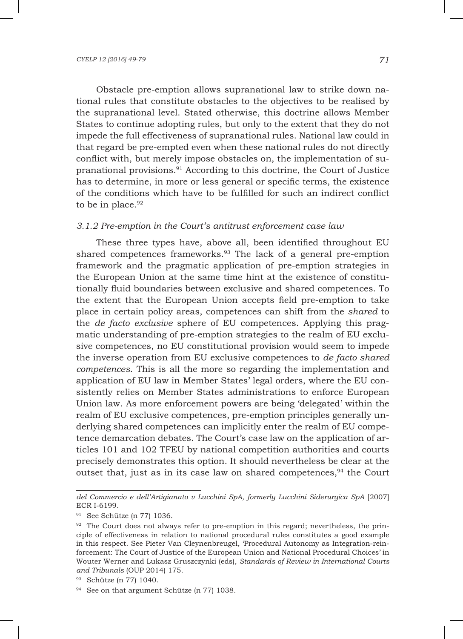Obstacle pre-emption allows supranational law to strike down national rules that constitute obstacles to the objectives to be realised by the supranational level. Stated otherwise, this doctrine allows Member States to continue adopting rules, but only to the extent that they do not impede the full effectiveness of supranational rules. National law could in that regard be pre-empted even when these national rules do not directly conflict with, but merely impose obstacles on, the implementation of supranational provisions.91 According to this doctrine, the Court of Justice has to determine, in more or less general or specific terms, the existence of the conditions which have to be fulfilled for such an indirect conflict to be in place. $92$ 

## *3.1.2 Pre-emption in the Court's antitrust enforcement case law*

These three types have, above all, been identified throughout EU shared competences frameworks.93 The lack of a general pre-emption framework and the pragmatic application of pre-emption strategies in the European Union at the same time hint at the existence of constitutionally fluid boundaries between exclusive and shared competences. To the extent that the European Union accepts field pre-emption to take place in certain policy areas, competences can shift from the *shared* to the *de facto exclusive* sphere of EU competences. Applying this pragmatic understanding of pre-emption strategies to the realm of EU exclusive competences, no EU constitutional provision would seem to impede the inverse operation from EU exclusive competences to *de facto shared competences*. This is all the more so regarding the implementation and application of EU law in Member States' legal orders, where the EU consistently relies on Member States administrations to enforce European Union law. As more enforcement powers are being 'delegated' within the realm of EU exclusive competences, pre-emption principles generally underlying shared competences can implicitly enter the realm of EU competence demarcation debates. The Court's case law on the application of articles 101 and 102 TFEU by national competition authorities and courts precisely demonstrates this option. It should nevertheless be clear at the outset that, just as in its case law on shared competences, $94$  the Court

*del Commercio e dell'Artigianato v Lucchini SpA, formerly Lucchini Siderurgica SpA* [2007] ECR I-6199.

<sup>91</sup> See Schütze (n 77) 1036.

 $92$  The Court does not always refer to pre-emption in this regard; nevertheless, the principle of effectiveness in relation to national procedural rules constitutes a good example in this respect. See Pieter Van Cleynenbreugel, 'Procedural Autonomy as Integration-reinforcement: The Court of Justice of the European Union and National Procedural Choices' in Wouter Werner and Lukasz Gruszczynki (eds), *Standards of Review in International Courts and Tribunals* (OUP 2014) 175.

<sup>93</sup> Schütze (n 77) 1040.

<sup>&</sup>lt;sup>94</sup> See on that argument Schütze (n 77) 1038.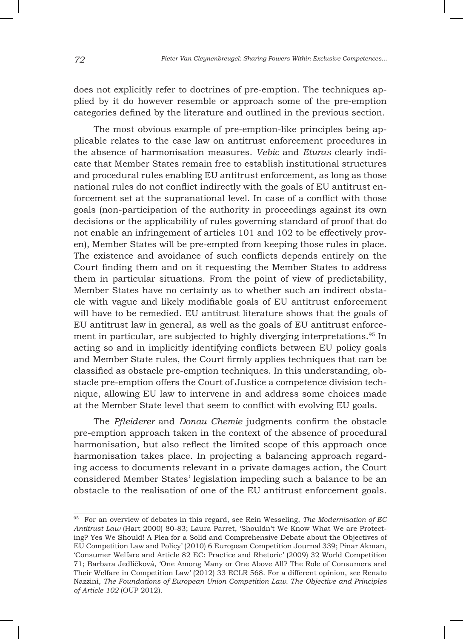does not explicitly refer to doctrines of pre-emption. The techniques applied by it do however resemble or approach some of the pre-emption categories defined by the literature and outlined in the previous section.

The most obvious example of pre-emption-like principles being applicable relates to the case law on antitrust enforcement procedures in the absence of harmonisation measures. *Vebic* and *Eturas* clearly indicate that Member States remain free to establish institutional structures and procedural rules enabling EU antitrust enforcement, as long as those national rules do not conflict indirectly with the goals of EU antitrust enforcement set at the supranational level. In case of a conflict with those goals (non-participation of the authority in proceedings against its own decisions or the applicability of rules governing standard of proof that do not enable an infringement of articles 101 and 102 to be effectively proven), Member States will be pre-empted from keeping those rules in place. The existence and avoidance of such conflicts depends entirely on the Court finding them and on it requesting the Member States to address them in particular situations. From the point of view of predictability, Member States have no certainty as to whether such an indirect obstacle with vague and likely modifiable goals of EU antitrust enforcement will have to be remedied. EU antitrust literature shows that the goals of EU antitrust law in general, as well as the goals of EU antitrust enforcement in particular, are subjected to highly diverging interpretations.<sup>95</sup> In acting so and in implicitly identifying conflicts between EU policy goals and Member State rules, the Court firmly applies techniques that can be classified as obstacle pre-emption techniques. In this understanding, obstacle pre-emption offers the Court of Justice a competence division technique, allowing EU law to intervene in and address some choices made at the Member State level that seem to conflict with evolving EU goals.

The *Pfleiderer* and *Donau Chemie* judgments confirm the obstacle pre-emption approach taken in the context of the absence of procedural harmonisation, but also reflect the limited scope of this approach once harmonisation takes place. In projecting a balancing approach regarding access to documents relevant in a private damages action, the Court considered Member States' legislation impeding such a balance to be an obstacle to the realisation of one of the EU antitrust enforcement goals.

<sup>95</sup> For an overview of debates in this regard, see Rein Wesseling, *The Modernisation of EC Antitrust Law* (Hart 2000) 80-83; Laura Parret, 'Shouldn't We Know What We are Protecting? Yes We Should! A Plea for a Solid and Comprehensive Debate about the Objectives of EU Competition Law and Policy' (2010) 6 European Competition Journal 339; Pinar Akman, 'Consumer Welfare and Article 82 EC: Practice and Rhetoric' (2009) 32 World Competition 71; Barbara Jedličková, 'One Among Many or One Above All? The Role of Consumers and Their Welfare in Competition Law' (2012) 33 ECLR 568. For a different opinion, see Renato Nazzini, *The Foundations of European Union Competition Law. The Objective and Principles of Article 102* (OUP 2012).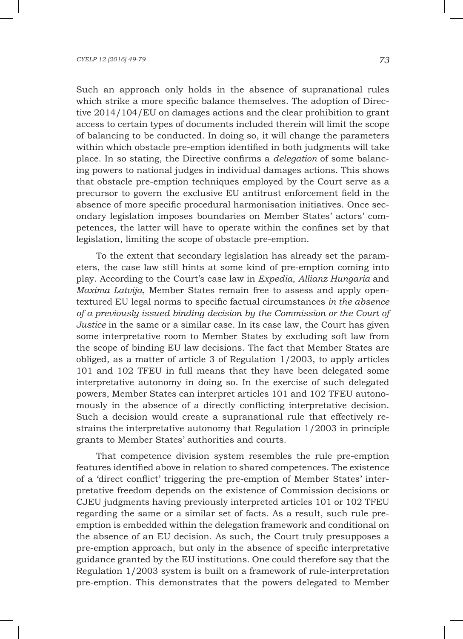Such an approach only holds in the absence of supranational rules which strike a more specific balance themselves. The adoption of Directive 2014/104/EU on damages actions and the clear prohibition to grant access to certain types of documents included therein will limit the scope of balancing to be conducted. In doing so, it will change the parameters within which obstacle pre-emption identified in both judgments will take place. In so stating, the Directive confirms a *delegation* of some balancing powers to national judges in individual damages actions. This shows that obstacle pre-emption techniques employed by the Court serve as a precursor to govern the exclusive EU antitrust enforcement field in the absence of more specific procedural harmonisation initiatives. Once secondary legislation imposes boundaries on Member States' actors' competences, the latter will have to operate within the confines set by that legislation, limiting the scope of obstacle pre-emption.

To the extent that secondary legislation has already set the parameters, the case law still hints at some kind of pre-emption coming into play. According to the Court's case law in *Expedia*, *Allianz Hungaria* and *Maxima Latvija*, Member States remain free to assess and apply opentextured EU legal norms to specific factual circumstances *in the absence of a previously issued binding decision by the Commission or the Court of Justice* in the same or a similar case. In its case law, the Court has given some interpretative room to Member States by excluding soft law from the scope of binding EU law decisions. The fact that Member States are obliged, as a matter of article 3 of Regulation 1/2003, to apply articles 101 and 102 TFEU in full means that they have been delegated some interpretative autonomy in doing so. In the exercise of such delegated powers, Member States can interpret articles 101 and 102 TFEU autonomously in the absence of a directly conflicting interpretative decision. Such a decision would create a supranational rule that effectively restrains the interpretative autonomy that Regulation 1/2003 in principle grants to Member States' authorities and courts.

That competence division system resembles the rule pre-emption features identified above in relation to shared competences. The existence of a 'direct conflict' triggering the pre-emption of Member States' interpretative freedom depends on the existence of Commission decisions or CJEU judgments having previously interpreted articles 101 or 102 TFEU regarding the same or a similar set of facts. As a result, such rule preemption is embedded within the delegation framework and conditional on the absence of an EU decision. As such, the Court truly presupposes a pre-emption approach, but only in the absence of specific interpretative guidance granted by the EU institutions. One could therefore say that the Regulation 1/2003 system is built on a framework of rule-interpretation pre-emption. This demonstrates that the powers delegated to Member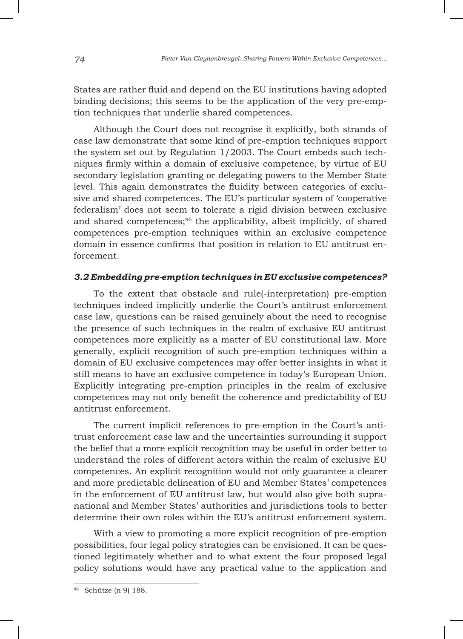States are rather fluid and depend on the EU institutions having adopted binding decisions; this seems to be the application of the very pre-emption techniques that underlie shared competences.

Although the Court does not recognise it explicitly, both strands of case law demonstrate that some kind of pre-emption techniques support the system set out by Regulation 1/2003. The Court embeds such techniques firmly within a domain of exclusive competence, by virtue of EU secondary legislation granting or delegating powers to the Member State level. This again demonstrates the fluidity between categories of exclusive and shared competences. The EU's particular system of 'cooperative federalism' does not seem to tolerate a rigid division between exclusive and shared competences;<sup>96</sup> the applicability, albeit implicitly, of shared competences pre-emption techniques within an exclusive competence domain in essence confirms that position in relation to EU antitrust enforcement.

## *3.2 Embedding pre-emption techniques in EU exclusive competences?*

To the extent that obstacle and rule(-interpretation) pre-emption techniques indeed implicitly underlie the Court's antitrust enforcement case law, questions can be raised genuinely about the need to recognise the presence of such techniques in the realm of exclusive EU antitrust competences more explicitly as a matter of EU constitutional law. More generally, explicit recognition of such pre-emption techniques within a domain of EU exclusive competences may offer better insights in what it still means to have an exclusive competence in today's European Union. Explicitly integrating pre-emption principles in the realm of exclusive competences may not only benefit the coherence and predictability of EU antitrust enforcement.

The current implicit references to pre-emption in the Court's antitrust enforcement case law and the uncertainties surrounding it support the belief that a more explicit recognition may be useful in order better to understand the roles of different actors within the realm of exclusive EU competences. An explicit recognition would not only guarantee a clearer and more predictable delineation of EU and Member States' competences in the enforcement of EU antitrust law, but would also give both supranational and Member States' authorities and jurisdictions tools to better determine their own roles within the EU's antitrust enforcement system.

With a view to promoting a more explicit recognition of pre-emption possibilities, four legal policy strategies can be envisioned. It can be questioned legitimately whether and to what extent the four proposed legal policy solutions would have any practical value to the application and

<sup>96</sup> Schütze (n 9) 188.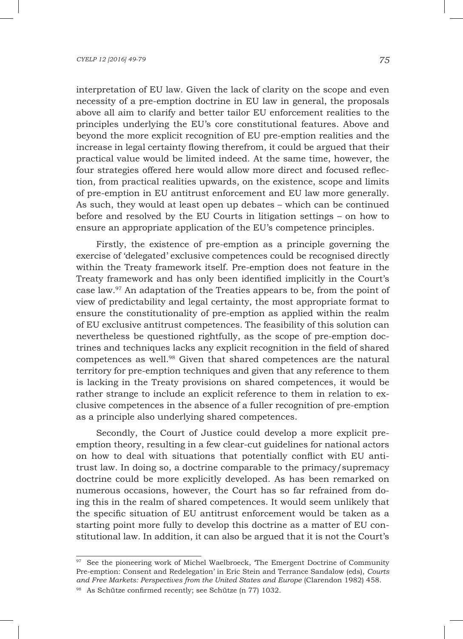interpretation of EU law. Given the lack of clarity on the scope and even necessity of a pre-emption doctrine in EU law in general, the proposals above all aim to clarify and better tailor EU enforcement realities to the principles underlying the EU's core constitutional features. Above and beyond the more explicit recognition of EU pre-emption realities and the increase in legal certainty flowing therefrom, it could be argued that their practical value would be limited indeed. At the same time, however, the four strategies offered here would allow more direct and focused reflection, from practical realities upwards, on the existence, scope and limits of pre-emption in EU antitrust enforcement and EU law more generally. As such, they would at least open up debates – which can be continued before and resolved by the EU Courts in litigation settings – on how to ensure an appropriate application of the EU's competence principles.

Firstly, the existence of pre-emption as a principle governing the exercise of 'delegated' exclusive competences could be recognised directly within the Treaty framework itself. Pre-emption does not feature in the Treaty framework and has only been identified implicitly in the Court's case law.97 An adaptation of the Treaties appears to be, from the point of view of predictability and legal certainty, the most appropriate format to ensure the constitutionality of pre-emption as applied within the realm of EU exclusive antitrust competences. The feasibility of this solution can nevertheless be questioned rightfully, as the scope of pre-emption doctrines and techniques lacks any explicit recognition in the field of shared competences as well.<sup>98</sup> Given that shared competences are the natural territory for pre-emption techniques and given that any reference to them is lacking in the Treaty provisions on shared competences, it would be rather strange to include an explicit reference to them in relation to exclusive competences in the absence of a fuller recognition of pre-emption as a principle also underlying shared competences.

Secondly, the Court of Justice could develop a more explicit preemption theory, resulting in a few clear-cut guidelines for national actors on how to deal with situations that potentially conflict with EU antitrust law. In doing so, a doctrine comparable to the primacy/supremacy doctrine could be more explicitly developed. As has been remarked on numerous occasions, however, the Court has so far refrained from doing this in the realm of shared competences. It would seem unlikely that the specific situation of EU antitrust enforcement would be taken as a starting point more fully to develop this doctrine as a matter of EU constitutional law. In addition, it can also be argued that it is not the Court's

<sup>&</sup>lt;sup>97</sup> See the pioneering work of Michel Waelbroeck, The Emergent Doctrine of Community Pre-emption: Consent and Redelegation' in Eric Stein and Terrance Sandalow (eds), *Courts and Free Markets: Perspectives from the United States and Europe* (Clarendon 1982) 458.

<sup>98</sup> As Schütze confirmed recently; see Schütze (n 77) 1032.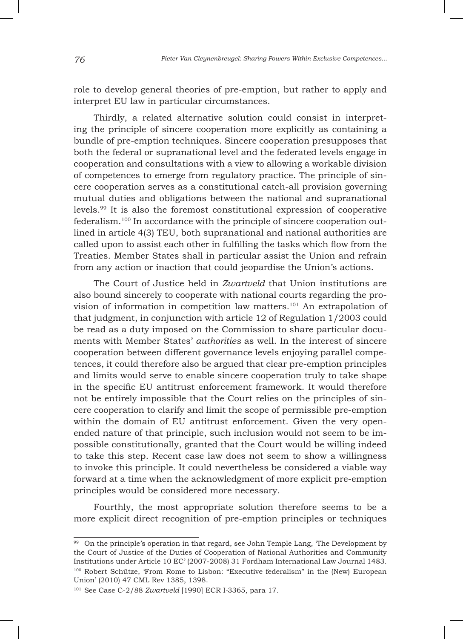role to develop general theories of pre-emption, but rather to apply and interpret EU law in particular circumstances.

Thirdly, a related alternative solution could consist in interpreting the principle of sincere cooperation more explicitly as containing a bundle of pre-emption techniques. Sincere cooperation presupposes that both the federal or supranational level and the federated levels engage in cooperation and consultations with a view to allowing a workable division of competences to emerge from regulatory practice. The principle of sincere cooperation serves as a constitutional catch-all provision governing mutual duties and obligations between the national and supranational levels.99 It is also the foremost constitutional expression of cooperative federalism.100 In accordance with the principle of sincere cooperation outlined in article 4(3) TEU, both supranational and national authorities are called upon to assist each other in fulfilling the tasks which flow from the Treaties. Member States shall in particular assist the Union and refrain from any action or inaction that could jeopardise the Union's actions.

The Court of Justice held in *Zwartveld* that Union institutions are also bound sincerely to cooperate with national courts regarding the provision of information in competition law matters.<sup>101</sup> An extrapolation of that judgment, in conjunction with article 12 of Regulation 1/2003 could be read as a duty imposed on the Commission to share particular documents with Member States' *authorities* as well. In the interest of sincere cooperation between different governance levels enjoying parallel competences, it could therefore also be argued that clear pre-emption principles and limits would serve to enable sincere cooperation truly to take shape in the specific EU antitrust enforcement framework. It would therefore not be entirely impossible that the Court relies on the principles of sincere cooperation to clarify and limit the scope of permissible pre-emption within the domain of EU antitrust enforcement. Given the very openended nature of that principle, such inclusion would not seem to be impossible constitutionally, granted that the Court would be willing indeed to take this step. Recent case law does not seem to show a willingness to invoke this principle. It could nevertheless be considered a viable way forward at a time when the acknowledgment of more explicit pre-emption principles would be considered more necessary.

Fourthly, the most appropriate solution therefore seems to be a more explicit direct recognition of pre-emption principles or techniques

<sup>&</sup>lt;sup>99</sup> On the principle's operation in that regard, see John Temple Lang, The Development by the Court of Justice of the Duties of Cooperation of National Authorities and Community Institutions under Article 10 EC' (2007-2008) 31 Fordham International Law Journal 1483. <sup>100</sup> Robert Schütze, 'From Rome to Lisbon: "Executive federalism" in the (New) European Union' (2010) 47 CML Rev 1385, 1398.

<sup>101</sup> See Case C-2/88 *Zwartveld* [1990] ECR I*-*3365, para 17.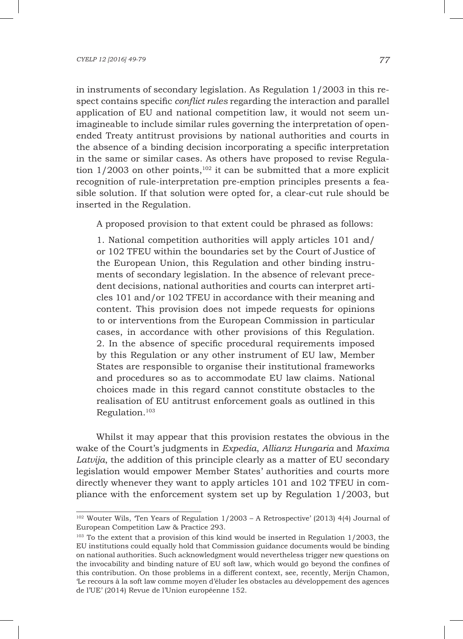in instruments of secondary legislation. As Regulation 1/2003 in this respect contains specific *conflict rules* regarding the interaction and parallel application of EU and national competition law, it would not seem unimagineable to include similar rules governing the interpretation of openended Treaty antitrust provisions by national authorities and courts in the absence of a binding decision incorporating a specific interpretation in the same or similar cases. As others have proposed to revise Regulation  $1/2003$  on other points,<sup>102</sup> it can be submitted that a more explicit recognition of rule-interpretation pre-emption principles presents a feasible solution. If that solution were opted for, a clear-cut rule should be inserted in the Regulation.

A proposed provision to that extent could be phrased as follows:

1. National competition authorities will apply articles 101 and/ or 102 TFEU within the boundaries set by the Court of Justice of the European Union, this Regulation and other binding instruments of secondary legislation. In the absence of relevant precedent decisions, national authorities and courts can interpret articles 101 and/or 102 TFEU in accordance with their meaning and content. This provision does not impede requests for opinions to or interventions from the European Commission in particular cases, in accordance with other provisions of this Regulation. 2. In the absence of specific procedural requirements imposed by this Regulation or any other instrument of EU law, Member States are responsible to organise their institutional frameworks and procedures so as to accommodate EU law claims. National choices made in this regard cannot constitute obstacles to the realisation of EU antitrust enforcement goals as outlined in this Regulation.103

Whilst it may appear that this provision restates the obvious in the wake of the Court's judgments in *Expedia*, *Allianz Hungaria* and *Maxima Latvija*, the addition of this principle clearly as a matter of EU secondary legislation would empower Member States' authorities and courts more directly whenever they want to apply articles 101 and 102 TFEU in compliance with the enforcement system set up by Regulation 1/2003, but

<sup>102</sup> Wouter Wils, 'Ten Years of Regulation 1/2003 – A Retrospective' (2013) 4(4) Journal of European Competition Law & Practice 293.

<sup>&</sup>lt;sup>103</sup> To the extent that a provision of this kind would be inserted in Regulation 1/2003, the EU institutions could equally hold that Commission guidance documents would be binding on national authorities. Such acknowledgment would nevertheless trigger new questions on the invocability and binding nature of EU soft law, which would go beyond the confines of this contribution. On those problems in a different context, see, recently, Merijn Chamon, 'Le recours à la soft law comme moyen d'éluder les obstacles au développement des agences de l'UE' (2014) Revue de l'Union européenne 152.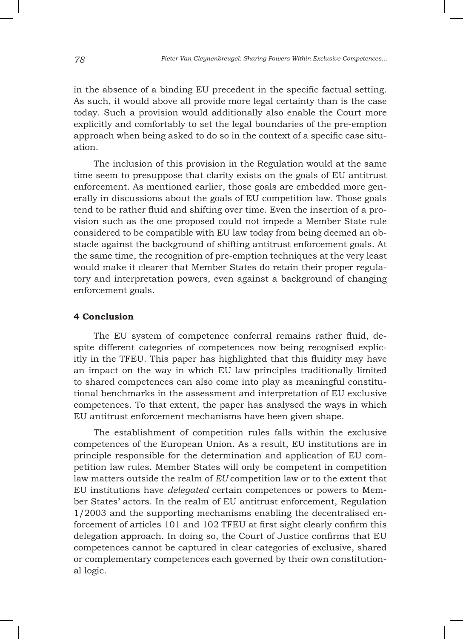in the absence of a binding EU precedent in the specific factual setting. As such, it would above all provide more legal certainty than is the case today. Such a provision would additionally also enable the Court more explicitly and comfortably to set the legal boundaries of the pre-emption approach when being asked to do so in the context of a specific case situation.

The inclusion of this provision in the Regulation would at the same time seem to presuppose that clarity exists on the goals of EU antitrust enforcement. As mentioned earlier, those goals are embedded more generally in discussions about the goals of EU competition law. Those goals tend to be rather fluid and shifting over time. Even the insertion of a provision such as the one proposed could not impede a Member State rule considered to be compatible with EU law today from being deemed an obstacle against the background of shifting antitrust enforcement goals. At the same time, the recognition of pre-emption techniques at the very least would make it clearer that Member States do retain their proper regulatory and interpretation powers, even against a background of changing enforcement goals.

## **4 Conclusion**

The EU system of competence conferral remains rather fluid, despite different categories of competences now being recognised explicitly in the TFEU. This paper has highlighted that this fluidity may have an impact on the way in which EU law principles traditionally limited to shared competences can also come into play as meaningful constitutional benchmarks in the assessment and interpretation of EU exclusive competences. To that extent, the paper has analysed the ways in which EU antitrust enforcement mechanisms have been given shape.

The establishment of competition rules falls within the exclusive competences of the European Union. As a result, EU institutions are in principle responsible for the determination and application of EU competition law rules. Member States will only be competent in competition law matters outside the realm of *EU* competition law or to the extent that EU institutions have *delegated* certain competences or powers to Member States' actors. In the realm of EU antitrust enforcement, Regulation 1/2003 and the supporting mechanisms enabling the decentralised enforcement of articles 101 and 102 TFEU at first sight clearly confirm this delegation approach. In doing so, the Court of Justice confirms that EU competences cannot be captured in clear categories of exclusive, shared or complementary competences each governed by their own constitutional logic.